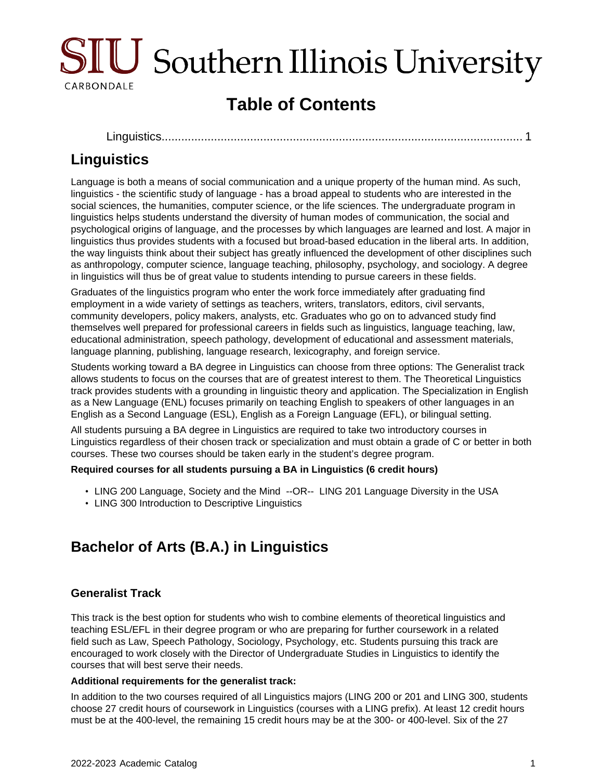

# **Table of Contents**

[Linguistics..........................................................................................................](#page-0-0).... 1

# <span id="page-0-0"></span>**Linguistics**

Language is both a means of social communication and a unique property of the human mind. As such, linguistics - the scientific study of language - has a broad appeal to students who are interested in the social sciences, the humanities, computer science, or the life sciences. The undergraduate program in linguistics helps students understand the diversity of human modes of communication, the social and psychological origins of language, and the processes by which languages are learned and lost. A major in linguistics thus provides students with a focused but broad-based education in the liberal arts. In addition, the way linguists think about their subject has greatly influenced the development of other disciplines such as anthropology, computer science, language teaching, philosophy, psychology, and sociology. A degree in linguistics will thus be of great value to students intending to pursue careers in these fields.

Graduates of the linguistics program who enter the work force immediately after graduating find employment in a wide variety of settings as teachers, writers, translators, editors, civil servants, community developers, policy makers, analysts, etc. Graduates who go on to advanced study find themselves well prepared for professional careers in fields such as linguistics, language teaching, law, educational administration, speech pathology, development of educational and assessment materials, language planning, publishing, language research, lexicography, and foreign service.

Students working toward a BA degree in Linguistics can choose from three options: The Generalist track allows students to focus on the courses that are of greatest interest to them. The Theoretical Linguistics track provides students with a grounding in linguistic theory and application. The Specialization in English as a New Language (ENL) focuses primarily on teaching English to speakers of other languages in an English as a Second Language (ESL), English as a Foreign Language (EFL), or bilingual setting.

All students pursuing a BA degree in Linguistics are required to take two introductory courses in Linguistics regardless of their chosen track or specialization and must obtain a grade of C or better in both courses. These two courses should be taken early in the student's degree program.

### **Required courses for all students pursuing a BA in Linguistics (6 credit hours)**

- LING 200 Language, Society and the Mind --OR-- LING 201 Language Diversity in the USA
- LING 300 Introduction to Descriptive Linguistics

## **Bachelor of Arts (B.A.) in Linguistics**

## **Generalist Track**

This track is the best option for students who wish to combine elements of theoretical linguistics and teaching ESL/EFL in their degree program or who are preparing for further coursework in a related field such as Law, Speech Pathology, Sociology, Psychology, etc. Students pursuing this track are encouraged to work closely with the Director of Undergraduate Studies in Linguistics to identify the courses that will best serve their needs.

#### **Additional requirements for the generalist track:**

In addition to the two courses required of all Linguistics majors (LING 200 or 201 and LING 300, students choose 27 credit hours of coursework in Linguistics (courses with a LING prefix). At least 12 credit hours must be at the 400-level, the remaining 15 credit hours may be at the 300- or 400-level. Six of the 27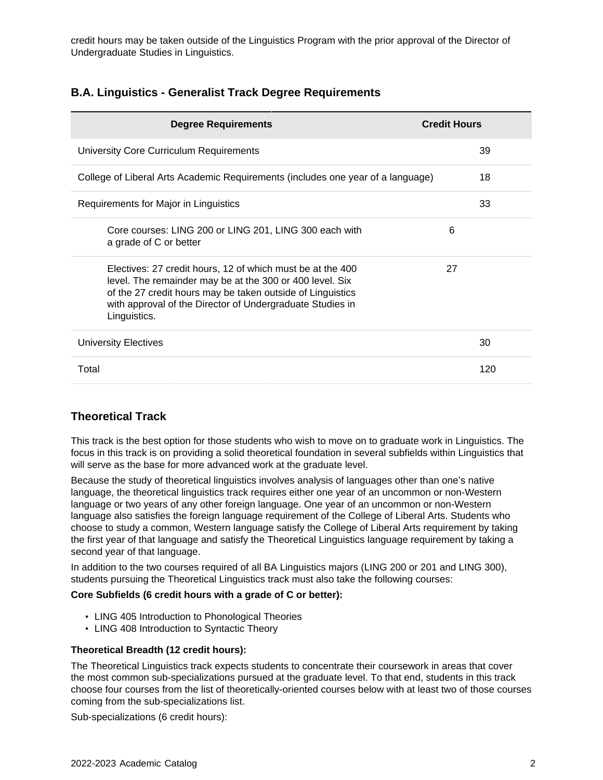credit hours may be taken outside of the Linguistics Program with the prior approval of the Director of Undergraduate Studies in Linguistics.

## **B.A. Linguistics - Generalist Track Degree Requirements**

| <b>Degree Requirements</b>                                                                                                                                                                                                                                        | <b>Credit Hours</b> |
|-------------------------------------------------------------------------------------------------------------------------------------------------------------------------------------------------------------------------------------------------------------------|---------------------|
| University Core Curriculum Requirements                                                                                                                                                                                                                           | 39                  |
| College of Liberal Arts Academic Requirements (includes one year of a language)                                                                                                                                                                                   | 18                  |
| Requirements for Major in Linguistics                                                                                                                                                                                                                             | 33                  |
| Core courses: LING 200 or LING 201, LING 300 each with<br>a grade of C or better                                                                                                                                                                                  | 6                   |
| Electives: 27 credit hours, 12 of which must be at the 400<br>level. The remainder may be at the 300 or 400 level. Six<br>of the 27 credit hours may be taken outside of Linguistics<br>with approval of the Director of Undergraduate Studies in<br>Linguistics. | 27                  |
| University Electives                                                                                                                                                                                                                                              | 30                  |
| Total                                                                                                                                                                                                                                                             | 120                 |

## **Theoretical Track**

This track is the best option for those students who wish to move on to graduate work in Linguistics. The focus in this track is on providing a solid theoretical foundation in several subfields within Linguistics that will serve as the base for more advanced work at the graduate level.

Because the study of theoretical linguistics involves analysis of languages other than one's native language, the theoretical linguistics track requires either one year of an uncommon or non-Western language or two years of any other foreign language. One year of an uncommon or non-Western language also satisfies the foreign language requirement of the College of Liberal Arts. Students who choose to study a common, Western language satisfy the College of Liberal Arts requirement by taking the first year of that language and satisfy the Theoretical Linguistics language requirement by taking a second year of that language.

In addition to the two courses required of all BA Linguistics majors (LING 200 or 201 and LING 300), students pursuing the Theoretical Linguistics track must also take the following courses:

#### **Core Subfields (6 credit hours with a grade of C or better):**

- LING 405 Introduction to Phonological Theories
- LING 408 Introduction to Syntactic Theory

#### **Theoretical Breadth (12 credit hours):**

The Theoretical Linguistics track expects students to concentrate their coursework in areas that cover the most common sub-specializations pursued at the graduate level. To that end, students in this track choose four courses from the list of theoretically-oriented courses below with at least two of those courses coming from the sub-specializations list.

Sub-specializations (6 credit hours):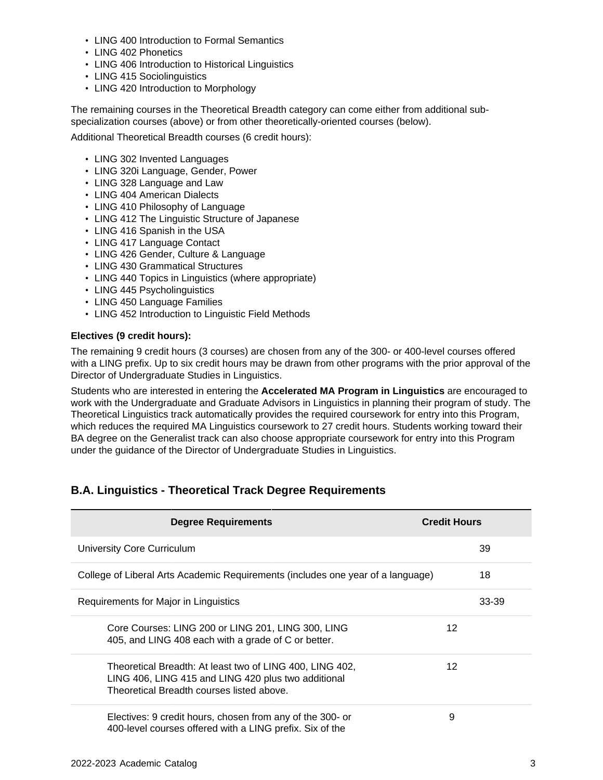- LING 400 Introduction to Formal Semantics
- LING 402 Phonetics
- LING 406 Introduction to Historical Linguistics
- LING 415 Sociolinguistics
- LING 420 Introduction to Morphology

The remaining courses in the Theoretical Breadth category can come either from additional subspecialization courses (above) or from other theoretically-oriented courses (below).

Additional Theoretical Breadth courses (6 credit hours):

- LING 302 Invented Languages
- LING 320i Language, Gender, Power
- LING 328 Language and Law
- LING 404 American Dialects
- LING 410 Philosophy of Language
- LING 412 The Linguistic Structure of Japanese
- LING 416 Spanish in the USA
- LING 417 Language Contact
- LING 426 Gender, Culture & Language
- LING 430 Grammatical Structures
- LING 440 Topics in Linguistics (where appropriate)
- LING 445 Psycholinguistics
- LING 450 Language Families
- LING 452 Introduction to Linguistic Field Methods

#### **Electives (9 credit hours):**

The remaining 9 credit hours (3 courses) are chosen from any of the 300- or 400-level courses offered with a LING prefix. Up to six credit hours may be drawn from other programs with the prior approval of the Director of Undergraduate Studies in Linguistics.

Students who are interested in entering the **Accelerated MA Program in Linguistics** are encouraged to work with the Undergraduate and Graduate Advisors in Linguistics in planning their program of study. The Theoretical Linguistics track automatically provides the required coursework for entry into this Program, which reduces the required MA Linguistics coursework to 27 credit hours. Students working toward their BA degree on the Generalist track can also choose appropriate coursework for entry into this Program under the guidance of the Director of Undergraduate Studies in Linguistics.

## **B.A. Linguistics - Theoretical Track Degree Requirements**

| <b>Degree Requirements</b>                                                                                                                                   | <b>Credit Hours</b> |       |
|--------------------------------------------------------------------------------------------------------------------------------------------------------------|---------------------|-------|
| <b>University Core Curriculum</b>                                                                                                                            |                     | 39    |
| College of Liberal Arts Academic Requirements (includes one year of a language)                                                                              |                     | 18    |
| Requirements for Major in Linguistics                                                                                                                        |                     | 33-39 |
| Core Courses: LING 200 or LING 201, LING 300, LING<br>405, and LING 408 each with a grade of C or better.                                                    | 12                  |       |
| Theoretical Breadth: At least two of LING 400, LING 402,<br>LING 406, LING 415 and LING 420 plus two additional<br>Theoretical Breadth courses listed above. | 12                  |       |
| Electives: 9 credit hours, chosen from any of the 300- or<br>400-level courses offered with a LING prefix. Six of the                                        | 9                   |       |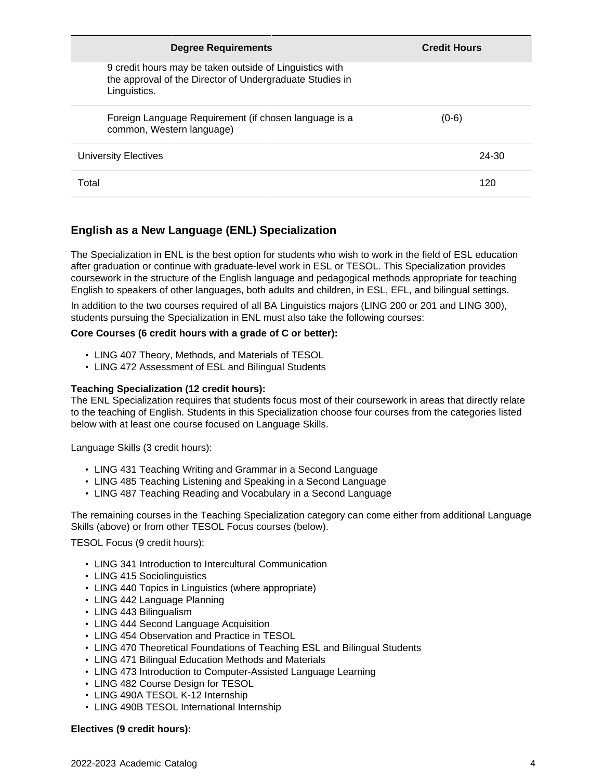| <b>Degree Requirements</b>                                                                                                          | <b>Credit Hours</b> |
|-------------------------------------------------------------------------------------------------------------------------------------|---------------------|
| 9 credit hours may be taken outside of Linguistics with<br>the approval of the Director of Undergraduate Studies in<br>Linguistics. |                     |
| Foreign Language Requirement (if chosen language is a<br>common, Western language)                                                  | $(0-6)$             |
| University Electives                                                                                                                | 24-30               |
| Total                                                                                                                               | 120                 |

## **English as a New Language (ENL) Specialization**

The Specialization in ENL is the best option for students who wish to work in the field of ESL education after graduation or continue with graduate-level work in ESL or TESOL. This Specialization provides coursework in the structure of the English language and pedagogical methods appropriate for teaching English to speakers of other languages, both adults and children, in ESL, EFL, and bilingual settings.

In addition to the two courses required of all BA Linguistics majors (LING 200 or 201 and LING 300), students pursuing the Specialization in ENL must also take the following courses:

#### **Core Courses (6 credit hours with a grade of C or better):**

- LING 407 Theory, Methods, and Materials of TESOL
- LING 472 Assessment of ESL and Bilingual Students

#### **Teaching Specialization (12 credit hours):**

The ENL Specialization requires that students focus most of their coursework in areas that directly relate to the teaching of English. Students in this Specialization choose four courses from the categories listed below with at least one course focused on Language Skills.

Language Skills (3 credit hours):

- LING 431 Teaching Writing and Grammar in a Second Language
- LING 485 Teaching Listening and Speaking in a Second Language
- LING 487 Teaching Reading and Vocabulary in a Second Language

The remaining courses in the Teaching Specialization category can come either from additional Language Skills (above) or from other TESOL Focus courses (below).

TESOL Focus (9 credit hours):

- LING 341 Introduction to Intercultural Communication
- LING 415 Sociolinguistics
- LING 440 Topics in Linguistics (where appropriate)
- LING 442 Language Planning
- LING 443 Bilingualism
- LING 444 Second Language Acquisition
- LING 454 Observation and Practice in TESOL
- LING 470 Theoretical Foundations of Teaching ESL and Bilingual Students
- LING 471 Bilingual Education Methods and Materials
- LING 473 Introduction to Computer-Assisted Language Learning
- LING 482 Course Design for TESOL
- LING 490A TESOL K-12 Internship
- LING 490B TESOL International Internship

#### **Electives (9 credit hours):**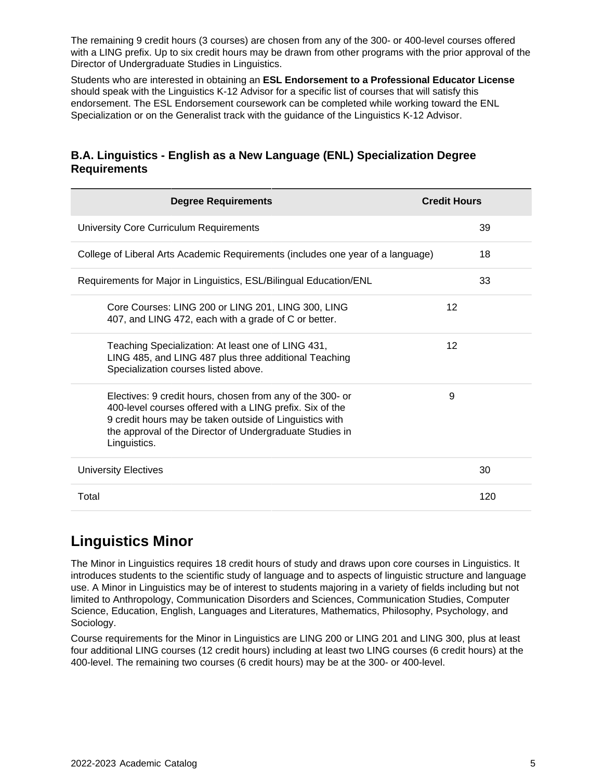The remaining 9 credit hours (3 courses) are chosen from any of the 300- or 400-level courses offered with a LING prefix. Up to six credit hours may be drawn from other programs with the prior approval of the Director of Undergraduate Studies in Linguistics.

Students who are interested in obtaining an **ESL Endorsement to a Professional Educator License** should speak with the Linguistics K-12 Advisor for a specific list of courses that will satisfy this endorsement. The ESL Endorsement coursework can be completed while working toward the ENL Specialization or on the Generalist track with the guidance of the Linguistics K-12 Advisor.

## **B.A. Linguistics - English as a New Language (ENL) Specialization Degree Requirements**

| <b>Degree Requirements</b>                                                                                                                                                                                                                                   | <b>Credit Hours</b> |
|--------------------------------------------------------------------------------------------------------------------------------------------------------------------------------------------------------------------------------------------------------------|---------------------|
| University Core Curriculum Requirements                                                                                                                                                                                                                      | 39                  |
| College of Liberal Arts Academic Requirements (includes one year of a language)                                                                                                                                                                              | 18                  |
| Requirements for Major in Linguistics, ESL/Bilingual Education/ENL                                                                                                                                                                                           | 33                  |
| Core Courses: LING 200 or LING 201, LING 300, LING<br>407, and LING 472, each with a grade of C or better.                                                                                                                                                   | 12                  |
| Teaching Specialization: At least one of LING 431,<br>LING 485, and LING 487 plus three additional Teaching<br>Specialization courses listed above.                                                                                                          | 12                  |
| Electives: 9 credit hours, chosen from any of the 300- or<br>400-level courses offered with a LING prefix. Six of the<br>9 credit hours may be taken outside of Linguistics with<br>the approval of the Director of Undergraduate Studies in<br>Linguistics. | 9                   |
| <b>University Electives</b>                                                                                                                                                                                                                                  | 30                  |
| Total                                                                                                                                                                                                                                                        | 120                 |

## **Linguistics Minor**

The Minor in Linguistics requires 18 credit hours of study and draws upon core courses in Linguistics. It introduces students to the scientific study of language and to aspects of linguistic structure and language use. A Minor in Linguistics may be of interest to students majoring in a variety of fields including but not limited to Anthropology, Communication Disorders and Sciences, Communication Studies, Computer Science, Education, English, Languages and Literatures, Mathematics, Philosophy, Psychology, and Sociology.

Course requirements for the Minor in Linguistics are LING 200 or LING 201 and LING 300, plus at least four additional LING courses (12 credit hours) including at least two LING courses (6 credit hours) at the 400-level. The remaining two courses (6 credit hours) may be at the 300- or 400-level.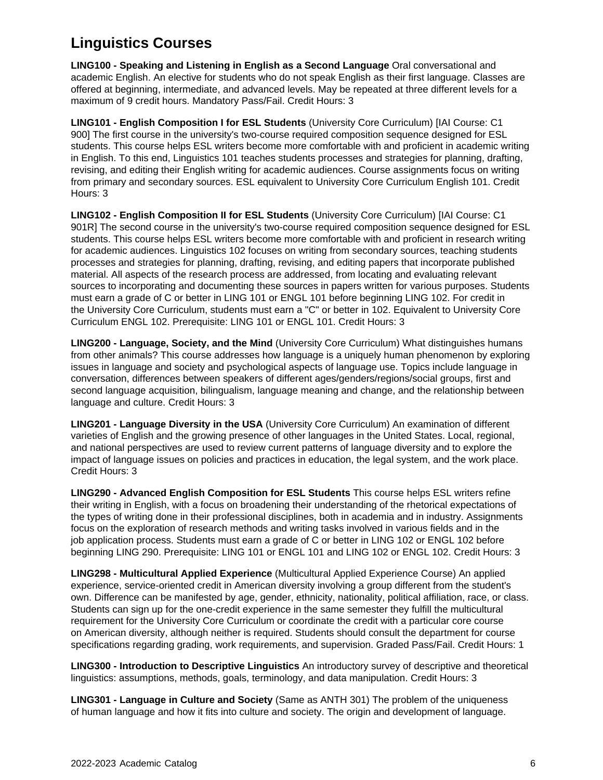## **Linguistics Courses**

**LING100 - Speaking and Listening in English as a Second Language** Oral conversational and academic English. An elective for students who do not speak English as their first language. Classes are offered at beginning, intermediate, and advanced levels. May be repeated at three different levels for a maximum of 9 credit hours. Mandatory Pass/Fail. Credit Hours: 3

**LING101 - English Composition I for ESL Students** (University Core Curriculum) [IAI Course: C1 900] The first course in the university's two-course required composition sequence designed for ESL students. This course helps ESL writers become more comfortable with and proficient in academic writing in English. To this end, Linguistics 101 teaches students processes and strategies for planning, drafting, revising, and editing their English writing for academic audiences. Course assignments focus on writing from primary and secondary sources. ESL equivalent to University Core Curriculum English 101. Credit Hours: 3

**LING102 - English Composition II for ESL Students** (University Core Curriculum) [IAI Course: C1 901R] The second course in the university's two-course required composition sequence designed for ESL students. This course helps ESL writers become more comfortable with and proficient in research writing for academic audiences. Linguistics 102 focuses on writing from secondary sources, teaching students processes and strategies for planning, drafting, revising, and editing papers that incorporate published material. All aspects of the research process are addressed, from locating and evaluating relevant sources to incorporating and documenting these sources in papers written for various purposes. Students must earn a grade of C or better in LING 101 or ENGL 101 before beginning LING 102. For credit in the University Core Curriculum, students must earn a "C" or better in 102. Equivalent to University Core Curriculum ENGL 102. Prerequisite: LING 101 or ENGL 101. Credit Hours: 3

**LING200 - Language, Society, and the Mind** (University Core Curriculum) What distinguishes humans from other animals? This course addresses how language is a uniquely human phenomenon by exploring issues in language and society and psychological aspects of language use. Topics include language in conversation, differences between speakers of different ages/genders/regions/social groups, first and second language acquisition, bilingualism, language meaning and change, and the relationship between language and culture. Credit Hours: 3

**LING201 - Language Diversity in the USA** (University Core Curriculum) An examination of different varieties of English and the growing presence of other languages in the United States. Local, regional, and national perspectives are used to review current patterns of language diversity and to explore the impact of language issues on policies and practices in education, the legal system, and the work place. Credit Hours: 3

**LING290 - Advanced English Composition for ESL Students** This course helps ESL writers refine their writing in English, with a focus on broadening their understanding of the rhetorical expectations of the types of writing done in their professional disciplines, both in academia and in industry. Assignments focus on the exploration of research methods and writing tasks involved in various fields and in the job application process. Students must earn a grade of C or better in LING 102 or ENGL 102 before beginning LING 290. Prerequisite: LING 101 or ENGL 101 and LING 102 or ENGL 102. Credit Hours: 3

**LING298 - Multicultural Applied Experience** (Multicultural Applied Experience Course) An applied experience, service-oriented credit in American diversity involving a group different from the student's own. Difference can be manifested by age, gender, ethnicity, nationality, political affiliation, race, or class. Students can sign up for the one-credit experience in the same semester they fulfill the multicultural requirement for the University Core Curriculum or coordinate the credit with a particular core course on American diversity, although neither is required. Students should consult the department for course specifications regarding grading, work requirements, and supervision. Graded Pass/Fail. Credit Hours: 1

**LING300 - Introduction to Descriptive Linguistics** An introductory survey of descriptive and theoretical linguistics: assumptions, methods, goals, terminology, and data manipulation. Credit Hours: 3

**LING301 - Language in Culture and Society** (Same as ANTH 301) The problem of the uniqueness of human language and how it fits into culture and society. The origin and development of language.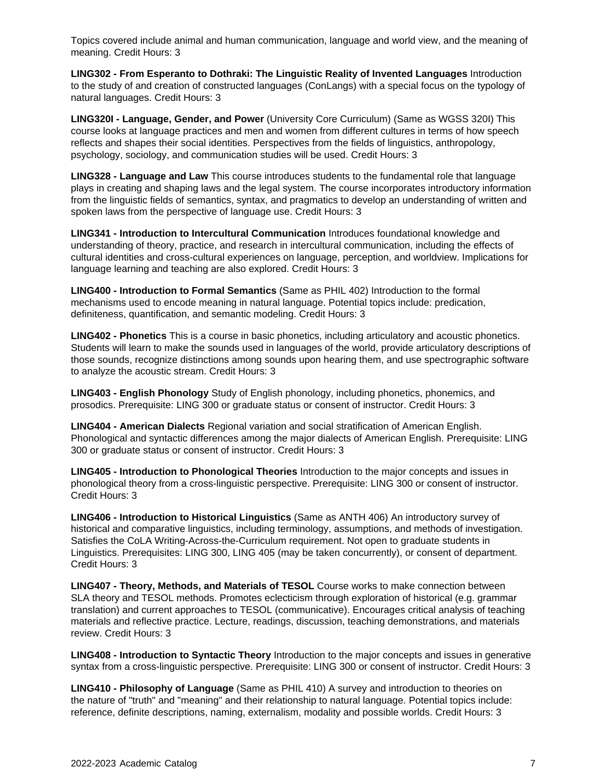Topics covered include animal and human communication, language and world view, and the meaning of meaning. Credit Hours: 3

**LING302 - From Esperanto to Dothraki: The Linguistic Reality of Invented Languages** Introduction to the study of and creation of constructed languages (ConLangs) with a special focus on the typology of natural languages. Credit Hours: 3

**LING320I - Language, Gender, and Power** (University Core Curriculum) (Same as WGSS 320I) This course looks at language practices and men and women from different cultures in terms of how speech reflects and shapes their social identities. Perspectives from the fields of linguistics, anthropology, psychology, sociology, and communication studies will be used. Credit Hours: 3

**LING328 - Language and Law** This course introduces students to the fundamental role that language plays in creating and shaping laws and the legal system. The course incorporates introductory information from the linguistic fields of semantics, syntax, and pragmatics to develop an understanding of written and spoken laws from the perspective of language use. Credit Hours: 3

**LING341 - Introduction to Intercultural Communication** Introduces foundational knowledge and understanding of theory, practice, and research in intercultural communication, including the effects of cultural identities and cross-cultural experiences on language, perception, and worldview. Implications for language learning and teaching are also explored. Credit Hours: 3

**LING400 - Introduction to Formal Semantics** (Same as PHIL 402) Introduction to the formal mechanisms used to encode meaning in natural language. Potential topics include: predication, definiteness, quantification, and semantic modeling. Credit Hours: 3

**LING402 - Phonetics** This is a course in basic phonetics, including articulatory and acoustic phonetics. Students will learn to make the sounds used in languages of the world, provide articulatory descriptions of those sounds, recognize distinctions among sounds upon hearing them, and use spectrographic software to analyze the acoustic stream. Credit Hours: 3

**LING403 - English Phonology** Study of English phonology, including phonetics, phonemics, and prosodics. Prerequisite: LING 300 or graduate status or consent of instructor. Credit Hours: 3

**LING404 - American Dialects** Regional variation and social stratification of American English. Phonological and syntactic differences among the major dialects of American English. Prerequisite: LING 300 or graduate status or consent of instructor. Credit Hours: 3

**LING405 - Introduction to Phonological Theories** Introduction to the major concepts and issues in phonological theory from a cross-linguistic perspective. Prerequisite: LING 300 or consent of instructor. Credit Hours: 3

**LING406 - Introduction to Historical Linguistics** (Same as ANTH 406) An introductory survey of historical and comparative linguistics, including terminology, assumptions, and methods of investigation. Satisfies the CoLA Writing-Across-the-Curriculum requirement. Not open to graduate students in Linguistics. Prerequisites: LING 300, LING 405 (may be taken concurrently), or consent of department. Credit Hours: 3

**LING407 - Theory, Methods, and Materials of TESOL** Course works to make connection between SLA theory and TESOL methods. Promotes eclecticism through exploration of historical (e.g. grammar translation) and current approaches to TESOL (communicative). Encourages critical analysis of teaching materials and reflective practice. Lecture, readings, discussion, teaching demonstrations, and materials review. Credit Hours: 3

**LING408 - Introduction to Syntactic Theory** Introduction to the major concepts and issues in generative syntax from a cross-linguistic perspective. Prerequisite: LING 300 or consent of instructor. Credit Hours: 3

**LING410 - Philosophy of Language** (Same as PHIL 410) A survey and introduction to theories on the nature of "truth" and "meaning" and their relationship to natural language. Potential topics include: reference, definite descriptions, naming, externalism, modality and possible worlds. Credit Hours: 3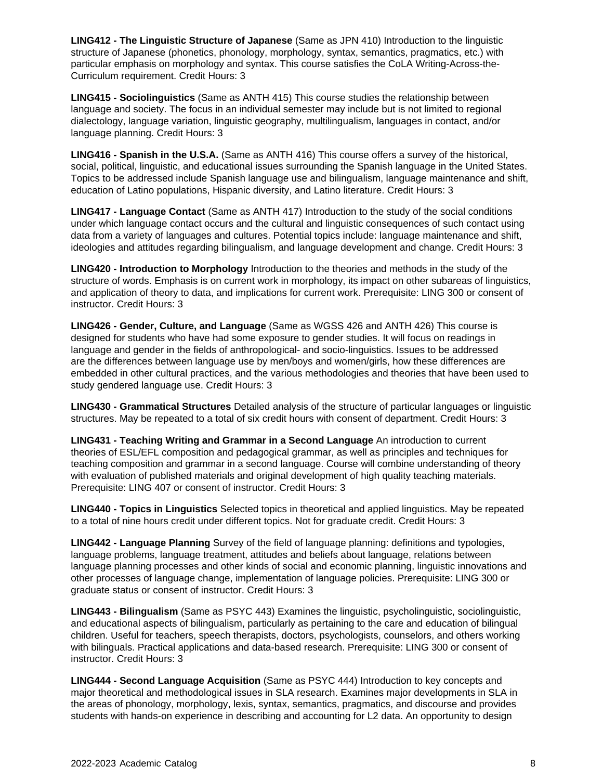**LING412 - The Linguistic Structure of Japanese** (Same as JPN 410) Introduction to the linguistic structure of Japanese (phonetics, phonology, morphology, syntax, semantics, pragmatics, etc.) with particular emphasis on morphology and syntax. This course satisfies the CoLA Writing-Across-the-Curriculum requirement. Credit Hours: 3

**LING415 - Sociolinguistics** (Same as ANTH 415) This course studies the relationship between language and society. The focus in an individual semester may include but is not limited to regional dialectology, language variation, linguistic geography, multilingualism, languages in contact, and/or language planning. Credit Hours: 3

**LING416 - Spanish in the U.S.A.** (Same as ANTH 416) This course offers a survey of the historical, social, political, linguistic, and educational issues surrounding the Spanish language in the United States. Topics to be addressed include Spanish language use and bilingualism, language maintenance and shift, education of Latino populations, Hispanic diversity, and Latino literature. Credit Hours: 3

**LING417 - Language Contact** (Same as ANTH 417) Introduction to the study of the social conditions under which language contact occurs and the cultural and linguistic consequences of such contact using data from a variety of languages and cultures. Potential topics include: language maintenance and shift, ideologies and attitudes regarding bilingualism, and language development and change. Credit Hours: 3

**LING420 - Introduction to Morphology** Introduction to the theories and methods in the study of the structure of words. Emphasis is on current work in morphology, its impact on other subareas of linguistics, and application of theory to data, and implications for current work. Prerequisite: LING 300 or consent of instructor. Credit Hours: 3

**LING426 - Gender, Culture, and Language** (Same as WGSS 426 and ANTH 426) This course is designed for students who have had some exposure to gender studies. It will focus on readings in language and gender in the fields of anthropological- and socio-linguistics. Issues to be addressed are the differences between language use by men/boys and women/girls, how these differences are embedded in other cultural practices, and the various methodologies and theories that have been used to study gendered language use. Credit Hours: 3

**LING430 - Grammatical Structures** Detailed analysis of the structure of particular languages or linguistic structures. May be repeated to a total of six credit hours with consent of department. Credit Hours: 3

**LING431 - Teaching Writing and Grammar in a Second Language** An introduction to current theories of ESL/EFL composition and pedagogical grammar, as well as principles and techniques for teaching composition and grammar in a second language. Course will combine understanding of theory with evaluation of published materials and original development of high quality teaching materials. Prerequisite: LING 407 or consent of instructor. Credit Hours: 3

**LING440 - Topics in Linguistics** Selected topics in theoretical and applied linguistics. May be repeated to a total of nine hours credit under different topics. Not for graduate credit. Credit Hours: 3

**LING442 - Language Planning** Survey of the field of language planning: definitions and typologies, language problems, language treatment, attitudes and beliefs about language, relations between language planning processes and other kinds of social and economic planning, linguistic innovations and other processes of language change, implementation of language policies. Prerequisite: LING 300 or graduate status or consent of instructor. Credit Hours: 3

**LING443 - Bilingualism** (Same as PSYC 443) Examines the linguistic, psycholinguistic, sociolinguistic, and educational aspects of bilingualism, particularly as pertaining to the care and education of bilingual children. Useful for teachers, speech therapists, doctors, psychologists, counselors, and others working with bilinguals. Practical applications and data-based research. Prerequisite: LING 300 or consent of instructor. Credit Hours: 3

**LING444 - Second Language Acquisition** (Same as PSYC 444) Introduction to key concepts and major theoretical and methodological issues in SLA research. Examines major developments in SLA in the areas of phonology, morphology, lexis, syntax, semantics, pragmatics, and discourse and provides students with hands-on experience in describing and accounting for L2 data. An opportunity to design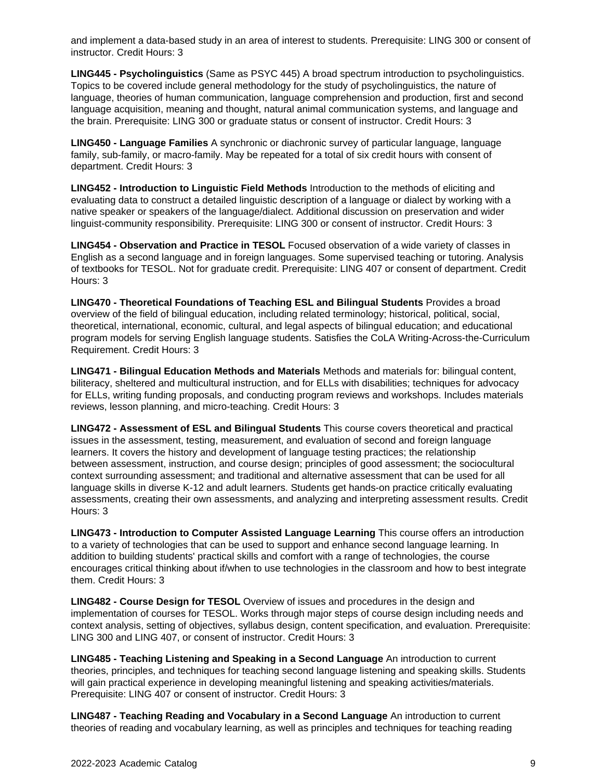and implement a data-based study in an area of interest to students. Prerequisite: LING 300 or consent of instructor. Credit Hours: 3

**LING445 - Psycholinguistics** (Same as PSYC 445) A broad spectrum introduction to psycholinguistics. Topics to be covered include general methodology for the study of psycholinguistics, the nature of language, theories of human communication, language comprehension and production, first and second language acquisition, meaning and thought, natural animal communication systems, and language and the brain. Prerequisite: LING 300 or graduate status or consent of instructor. Credit Hours: 3

**LING450 - Language Families** A synchronic or diachronic survey of particular language, language family, sub-family, or macro-family. May be repeated for a total of six credit hours with consent of department. Credit Hours: 3

**LING452 - Introduction to Linguistic Field Methods** Introduction to the methods of eliciting and evaluating data to construct a detailed linguistic description of a language or dialect by working with a native speaker or speakers of the language/dialect. Additional discussion on preservation and wider linguist-community responsibility. Prerequisite: LING 300 or consent of instructor. Credit Hours: 3

**LING454 - Observation and Practice in TESOL** Focused observation of a wide variety of classes in English as a second language and in foreign languages. Some supervised teaching or tutoring. Analysis of textbooks for TESOL. Not for graduate credit. Prerequisite: LING 407 or consent of department. Credit Hours: 3

**LING470 - Theoretical Foundations of Teaching ESL and Bilingual Students** Provides a broad overview of the field of bilingual education, including related terminology; historical, political, social, theoretical, international, economic, cultural, and legal aspects of bilingual education; and educational program models for serving English language students. Satisfies the CoLA Writing-Across-the-Curriculum Requirement. Credit Hours: 3

**LING471 - Bilingual Education Methods and Materials** Methods and materials for: bilingual content, biliteracy, sheltered and multicultural instruction, and for ELLs with disabilities; techniques for advocacy for ELLs, writing funding proposals, and conducting program reviews and workshops. Includes materials reviews, lesson planning, and micro-teaching. Credit Hours: 3

**LING472 - Assessment of ESL and Bilingual Students** This course covers theoretical and practical issues in the assessment, testing, measurement, and evaluation of second and foreign language learners. It covers the history and development of language testing practices; the relationship between assessment, instruction, and course design; principles of good assessment; the sociocultural context surrounding assessment; and traditional and alternative assessment that can be used for all language skills in diverse K-12 and adult learners. Students get hands-on practice critically evaluating assessments, creating their own assessments, and analyzing and interpreting assessment results. Credit Hours: 3

**LING473 - Introduction to Computer Assisted Language Learning** This course offers an introduction to a variety of technologies that can be used to support and enhance second language learning. In addition to building students' practical skills and comfort with a range of technologies, the course encourages critical thinking about if/when to use technologies in the classroom and how to best integrate them. Credit Hours: 3

**LING482 - Course Design for TESOL** Overview of issues and procedures in the design and implementation of courses for TESOL. Works through major steps of course design including needs and context analysis, setting of objectives, syllabus design, content specification, and evaluation. Prerequisite: LING 300 and LING 407, or consent of instructor. Credit Hours: 3

**LING485 - Teaching Listening and Speaking in a Second Language** An introduction to current theories, principles, and techniques for teaching second language listening and speaking skills. Students will gain practical experience in developing meaningful listening and speaking activities/materials. Prerequisite: LING 407 or consent of instructor. Credit Hours: 3

**LING487 - Teaching Reading and Vocabulary in a Second Language** An introduction to current theories of reading and vocabulary learning, as well as principles and techniques for teaching reading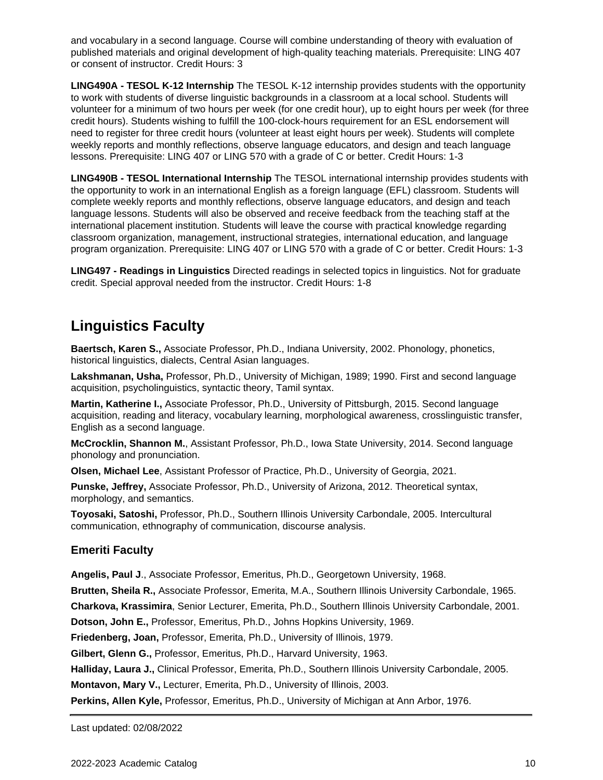and vocabulary in a second language. Course will combine understanding of theory with evaluation of published materials and original development of high-quality teaching materials. Prerequisite: LING 407 or consent of instructor. Credit Hours: 3

**LING490A - TESOL K-12 Internship** The TESOL K-12 internship provides students with the opportunity to work with students of diverse linguistic backgrounds in a classroom at a local school. Students will volunteer for a minimum of two hours per week (for one credit hour), up to eight hours per week (for three credit hours). Students wishing to fulfill the 100-clock-hours requirement for an ESL endorsement will need to register for three credit hours (volunteer at least eight hours per week). Students will complete weekly reports and monthly reflections, observe language educators, and design and teach language lessons. Prerequisite: LING 407 or LING 570 with a grade of C or better. Credit Hours: 1-3

**LING490B - TESOL International Internship** The TESOL international internship provides students with the opportunity to work in an international English as a foreign language (EFL) classroom. Students will complete weekly reports and monthly reflections, observe language educators, and design and teach language lessons. Students will also be observed and receive feedback from the teaching staff at the international placement institution. Students will leave the course with practical knowledge regarding classroom organization, management, instructional strategies, international education, and language program organization. Prerequisite: LING 407 or LING 570 with a grade of C or better. Credit Hours: 1-3

**LING497 - Readings in Linguistics** Directed readings in selected topics in linguistics. Not for graduate credit. Special approval needed from the instructor. Credit Hours: 1-8

## **Linguistics Faculty**

**Baertsch, Karen S.,** Associate Professor, Ph.D., Indiana University, 2002. Phonology, phonetics, historical linguistics, dialects, Central Asian languages.

**Lakshmanan, Usha,** Professor, Ph.D., University of Michigan, 1989; 1990. First and second language acquisition, psycholinguistics, syntactic theory, Tamil syntax.

**Martin, Katherine I.,** Associate Professor, Ph.D., University of Pittsburgh, 2015. Second language acquisition, reading and literacy, vocabulary learning, morphological awareness, crosslinguistic transfer, English as a second language.

**McCrocklin, Shannon M.**, Assistant Professor, Ph.D., Iowa State University, 2014. Second language phonology and pronunciation.

**Olsen, Michael Lee**, Assistant Professor of Practice, Ph.D., University of Georgia, 2021.

**Punske, Jeffrey,** Associate Professor, Ph.D., University of Arizona, 2012. Theoretical syntax, morphology, and semantics.

**Toyosaki, Satoshi,** Professor, Ph.D., Southern Illinois University Carbondale, 2005. Intercultural communication, ethnography of communication, discourse analysis.

## **Emeriti Faculty**

**Angelis, Paul J**., Associate Professor, Emeritus, Ph.D., Georgetown University, 1968.

**Brutten, Sheila R.,** Associate Professor, Emerita, M.A., Southern Illinois University Carbondale, 1965.

**Charkova, Krassimira**, Senior Lecturer, Emerita, Ph.D., Southern Illinois University Carbondale, 2001.

**Dotson, John E.,** Professor, Emeritus, Ph.D., Johns Hopkins University, 1969.

**Friedenberg, Joan,** Professor, Emerita, Ph.D., University of Illinois, 1979.

**Gilbert, Glenn G.,** Professor, Emeritus, Ph.D., Harvard University, 1963.

**Halliday, Laura J.,** Clinical Professor, Emerita, Ph.D., Southern Illinois University Carbondale, 2005.

**Montavon, Mary V.,** Lecturer, Emerita, Ph.D., University of Illinois, 2003.

**Perkins, Allen Kyle,** Professor, Emeritus, Ph.D., University of Michigan at Ann Arbor, 1976.

Last updated: 02/08/2022